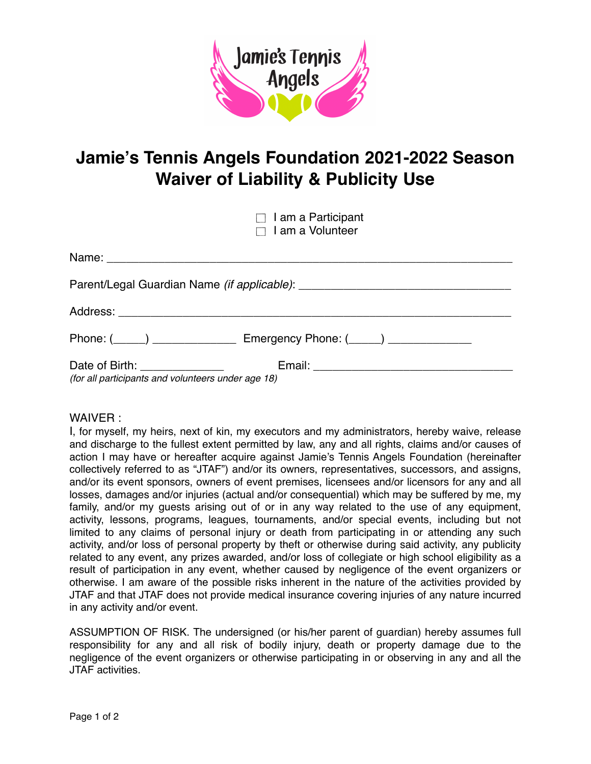

## **Jamie's Tennis Angels Foundation 2021-2022 Season Waiver of Liability & Publicity Use**

 $\Box$  I am a Participant

| $\Box$ I am a Volunteer                                                               |  |
|---------------------------------------------------------------------------------------|--|
|                                                                                       |  |
|                                                                                       |  |
|                                                                                       |  |
| Phone: (\int___) \int_________________ Emergency Phone: (\int___) \int___________     |  |
| Date of Birth: ________________<br>(for all participants and volunteers under age 18) |  |

## WAIVER :

I, for myself, my heirs, next of kin, my executors and my administrators, hereby waive, release and discharge to the fullest extent permitted by law, any and all rights, claims and/or causes of action I may have or hereafter acquire against Jamie's Tennis Angels Foundation (hereinafter collectively referred to as "JTAF") and/or its owners, representatives, successors, and assigns, and/or its event sponsors, owners of event premises, licensees and/or licensors for any and all losses, damages and/or injuries (actual and/or consequential) which may be suffered by me, my family, and/or my guests arising out of or in any way related to the use of any equipment, activity, lessons, programs, leagues, tournaments, and/or special events, including but not limited to any claims of personal injury or death from participating in or attending any such activity, and/or loss of personal property by theft or otherwise during said activity, any publicity related to any event, any prizes awarded, and/or loss of collegiate or high school eligibility as a result of participation in any event, whether caused by negligence of the event organizers or otherwise. I am aware of the possible risks inherent in the nature of the activities provided by JTAF and that JTAF does not provide medical insurance covering injuries of any nature incurred in any activity and/or event.

ASSUMPTION OF RISK. The undersigned (or his/her parent of guardian) hereby assumes full responsibility for any and all risk of bodily injury, death or property damage due to the negligence of the event organizers or otherwise participating in or observing in any and all the JTAF activities.